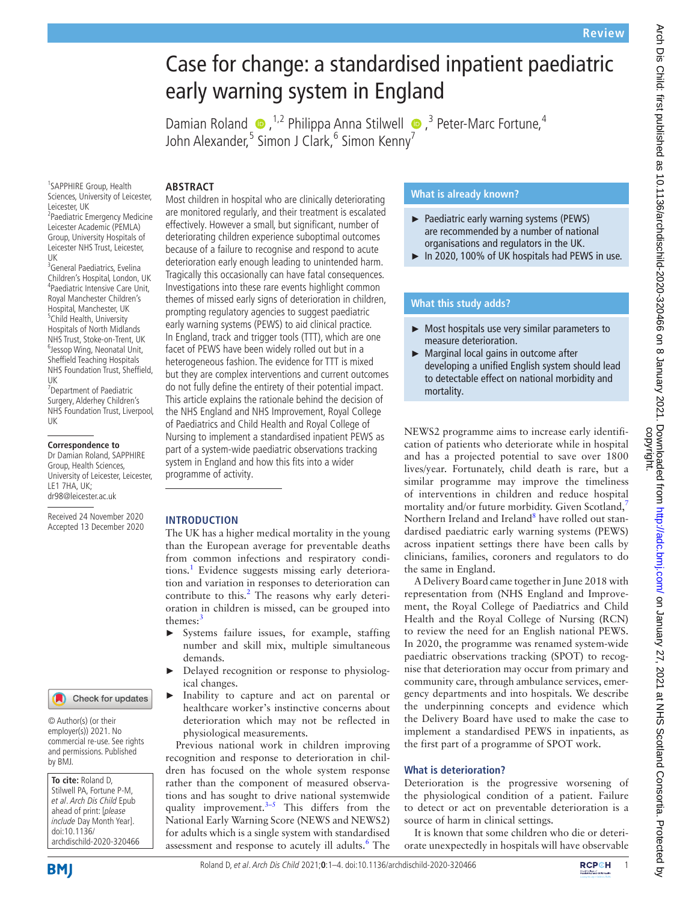# Case for change: a standardised inpatient paediatric early warning system in England

DamianRoland  $\bullet$ ,<sup>1,2</sup> Philippa Anna Stilwell  $\bullet$ ,<sup>3</sup> Peter-Marc Fortune,<sup>4</sup> John Alexander,<sup>5</sup> Simon J Clark,<sup>6</sup> Simon Kenny<sup>7</sup>

## **ABSTRACT**

1 SAPPHIRE Group, Health Sciences, University of Leicester, Leicester, UK

2 Paediatric Emergency Medicine Leicester Academic (PEMLA) Group, University Hospitals of Leicester NHS Trust, Leicester, UK

<sup>3</sup>General Paediatrics, Evelina Children's Hospital, London, UK 4 Paediatric Intensive Care Unit, Royal Manchester Children's Hospital, Manchester, UK 5 Child Health, University Hospitals of North Midlands NHS Trust, Stoke-on-Trent, UK <sup>6</sup> <sup>6</sup> Jessop Wing, Neonatal Unit, Sheffield Teaching Hospitals NHS Foundation Trust, Sheffield, UK

7 Department of Paediatric Surgery, Alderhey Children's NHS Foundation Trust, Liverpool, UK

#### **Correspondence to**

Dr Damian Roland, SAPPHIRE Group, Health Sciences, University of Leicester, Leicester, LE1 7HA, UK; dr98@leicester.ac.uk

Received 24 November 2020 Accepted 13 December 2020 Most children in hospital who are clinically deteriorating are monitored regularly, and their treatment is escalated effectively. However a small, but significant, number of deteriorating children experience suboptimal outcomes because of a failure to recognise and respond to acute deterioration early enough leading to unintended harm. Tragically this occasionally can have fatal consequences. Investigations into these rare events highlight common themes of missed early signs of deterioration in children, prompting regulatory agencies to suggest paediatric early warning systems (PEWS) to aid clinical practice. In England, track and trigger tools (TTT), which are one facet of PEWS have been widely rolled out but in a heterogeneous fashion. The evidence for TTT is mixed but they are complex interventions and current outcomes do not fully define the entirety of their potential impact. This article explains the rationale behind the decision of the NHS England and NHS Improvement, Royal College of Paediatrics and Child Health and Royal College of Nursing to implement a standardised inpatient PEWS as part of a system-wide paediatric observations tracking system in England and how this fits into a wider programme of activity.

### **INTRODUCTION**

The UK has a higher medical mortality in the young than the European average for preventable deaths from common infections and respiratory condi-tions.<sup>[1](#page-3-0)</sup> Evidence suggests missing early deterioration and variation in responses to deterioration can contribute to this. $2$  The reasons why early deterioration in children is missed, can be grouped into themes:<sup>[3](#page-3-2)</sup>

- Systems failure issues, for example, staffing number and skill mix, multiple simultaneous demands.
- ► Delayed recognition or response to physiological changes.
- ► Inability to capture and act on parental or healthcare worker's instinctive concerns about deterioration which may not be reflected in physiological measurements.

Previous national work in children improving recognition and response to deterioration in children has focused on the whole system response rather than the component of measured observations and has sought to drive national systemwide quality improvement. $3-5$  This differs from the National Early Warning Score (NEWS and NEWS2) for adults which is a single system with standardised assessment and response to acutely ill adults.<sup>[6](#page-3-3)</sup> The

# **What is already known?**

- ► Paediatric early warning systems (PEWS) are recommended by a number of national organisations and regulators in the UK.
- ► In 2020, 100% of UK hospitals had PEWS in use.

# **What this study adds?**

- ► Most hospitals use very similar parameters to measure deterioration.
- ► Marginal local gains in outcome after developing a unified English system should lead to detectable effect on national morbidity and mortality.

NEWS2 programme aims to increase early identification of patients who deteriorate while in hospital and has a projected potential to save over 1800 lives/year. Fortunately, child death is rare, but a similar programme may improve the timeliness of interventions in children and reduce hospital mortality and/or future morbidity. Given Scotland,<sup>[7](#page-3-4)</sup> Northern Ireland and Ireland<sup>8</sup> have rolled out standardised paediatric early warning systems (PEWS) across inpatient settings there have been calls by clinicians, families, coroners and regulators to do the same in England.

A Delivery Board came together in June 2018 with representation from (NHS England and Improvement, the Royal College of Paediatrics and Child Health and the Royal College of Nursing (RCN) to review the need for an English national PEWS. In 2020, the programme was renamed system-wide paediatric observations tracking (SPOT) to recognise that deterioration may occur from primary and community care, through ambulance services, emergency departments and into hospitals. We describe the underpinning concepts and evidence which the Delivery Board have used to make the case to implement a standardised PEWS in inpatients, as the first part of a programme of SPOT work.

## **What is deterioration?**

Deterioration is the progressive worsening of the physiological condition of a patient. Failure to detect or act on preventable deterioration is a source of harm in clinical settings.

It is known that some children who die or deteriorate unexpectedly in hospitals will have observable

doi:10.1136/ archdischild-2020-320466

by BMJ.

**To cite:** Roland D, Stilwell PA, Fortune P-M, et al. Arch Dis Child Epub ahead of print: [please include Day Month Year].

© Author(s) (or their employer(s)) 2021. No commercial re-use. See rights and permissions. Published

Check for updates

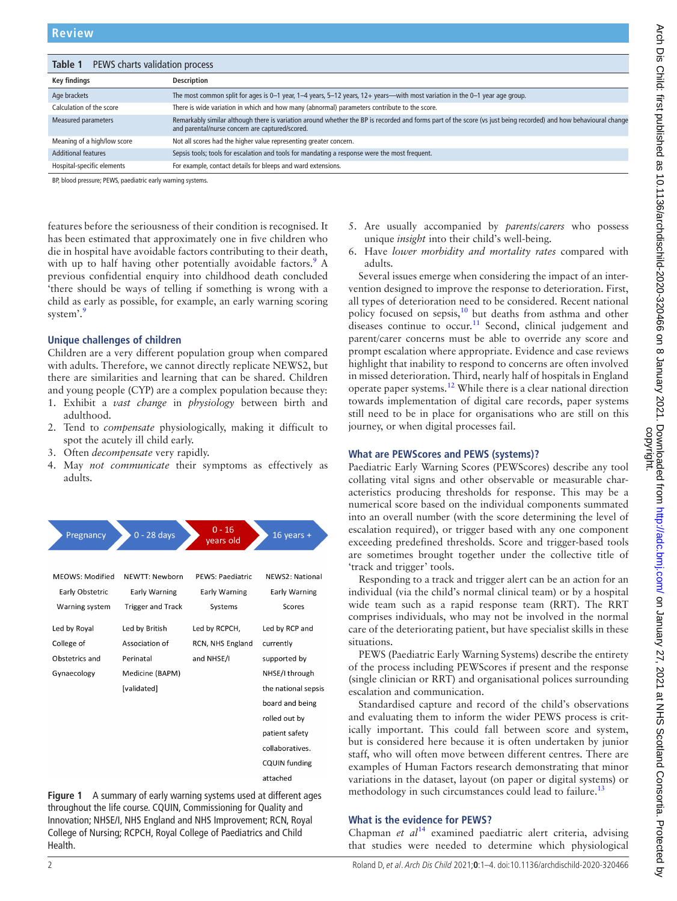<span id="page-1-0"></span>

| PEWS charts validation process<br>Table 1 |                                                                                                                                                                                                                     |
|-------------------------------------------|---------------------------------------------------------------------------------------------------------------------------------------------------------------------------------------------------------------------|
| <b>Key findings</b>                       | <b>Description</b>                                                                                                                                                                                                  |
| Age brackets                              | The most common split for ages is 0–1 year, 1–4 years, 5–12 years, 12+ years—with most variation in the 0–1 year age group.                                                                                         |
| Calculation of the score                  | There is wide variation in which and how many (abnormal) parameters contribute to the score.                                                                                                                        |
| Measured parameters                       | Remarkably similar although there is variation around whether the BP is recorded and forms part of the score (vs just being recorded) and how behavioural change<br>and parental/nurse concern are captured/scored. |
| Meaning of a high/low score               | Not all scores had the higher value representing greater concern.                                                                                                                                                   |
| <b>Additional features</b>                | Sepsis tools; tools for escalation and tools for mandating a response were the most frequent.                                                                                                                       |
| Hospital-specific elements                | For example, contact details for bleeps and ward extensions.                                                                                                                                                        |

BP, blood pressure; PEWS, paediatric early warning systems.

features before the seriousness of their condition is recognised. It has been estimated that approximately one in five children who die in hospital have avoidable factors contributing to their death, with up to half having other potentially avoidable factors.<sup>[9](#page-3-6)</sup> A previous confidential enquiry into childhood death concluded 'there should be ways of telling if something is wrong with a child as early as possible, for example, an early warning scoring system'.<sup>[9](#page-3-6)</sup>

## **Unique challenges of children**

Children are a very different population group when compared with adults. Therefore, we cannot directly replicate NEWS2, but there are similarities and learning that can be shared. Children and young people (CYP) are a complex population because they:

- 1. Exhibit a *vast change* in *physiology* between birth and adulthood.
- 2. Tend to *compensate* physiologically, making it difficult to spot the acutely ill child early.
- 3. Often *decompensate* very rapidly.
- 4. May *not communicate* their symptoms as effectively as adults.



<span id="page-1-1"></span>**Figure 1** A summary of early warning systems used at different ages throughout the life course. CQUIN, Commissioning for Quality and Innovation; NHSE/I, NHS England and NHS Improvement; RCN, Royal College of Nursing; RCPCH, Royal College of Paediatrics and Child Health.

- 5. Are usually accompanied by *parents*/*carers* who possess unique *insight* into their child's well-being.
- 6. Have *lower morbidity and mortality rates* compared with adults.

Several issues emerge when considering the impact of an intervention designed to improve the response to deterioration. First, all types of deterioration need to be considered. Recent national policy focused on sepsis, $10$  but deaths from asthma and other diseases continue to occur.<sup>[11](#page-3-8)</sup> Second, clinical judgement and parent/carer concerns must be able to override any score and prompt escalation where appropriate. Evidence and case reviews highlight that inability to respond to concerns are often involved in missed deterioration. Third, nearly half of hospitals in England operate paper systems.[12](#page-3-9) While there is a clear national direction towards implementation of digital care records, paper systems still need to be in place for organisations who are still on this journey, or when digital processes fail.

# **What are PEWScores and PEWS (systems)?**

Paediatric Early Warning Scores (PEWScores) describe any tool collating vital signs and other observable or measurable characteristics producing thresholds for response. This may be a numerical score based on the individual components summated into an overall number (with the score determining the level of escalation required), or trigger based with any one component exceeding predefined thresholds. Score and trigger-based tools are sometimes brought together under the collective title of 'track and trigger' tools.

Responding to a track and trigger alert can be an action for an individual (via the child's normal clinical team) or by a hospital wide team such as a rapid response team (RRT). The RRT comprises individuals, who may not be involved in the normal care of the deteriorating patient, but have specialist skills in these situations.

PEWS (Paediatric Early Warning Systems) describe the entirety of the process including PEWScores if present and the response (single clinician or RRT) and organisational polices surrounding escalation and communication.

Standardised capture and record of the child's observations and evaluating them to inform the wider PEWS process is critically important. This could fall between score and system, but is considered here because it is often undertaken by junior staff, who will often move between different centres. There are examples of Human Factors research demonstrating that minor variations in the dataset, layout (on paper or digital systems) or methodology in such circumstances could lead to failure.<sup>[13](#page-3-10)</sup>

# **What is the evidence for PEWS?**

Chapman *et al*<sup>14</sup> examined paediatric alert criteria, advising that studies were needed to determine which physiological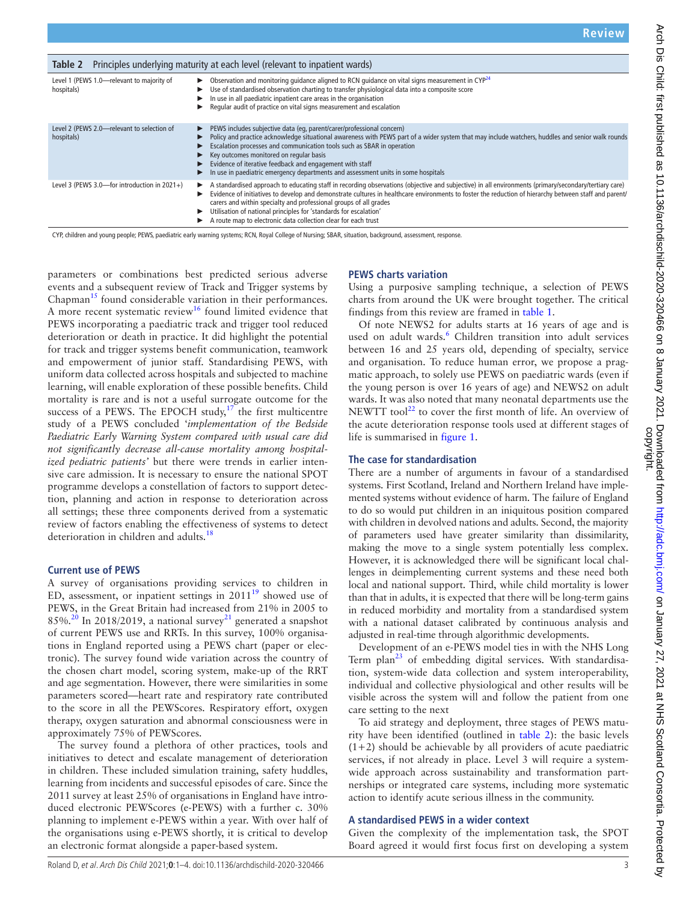<span id="page-2-0"></span>

| Principles underlying maturity at each level (relevant to inpatient wards)<br>Table 2 |                                                                                                                                                                                                                                                                                                                                                                                                                                                                                                                                 |
|---------------------------------------------------------------------------------------|---------------------------------------------------------------------------------------------------------------------------------------------------------------------------------------------------------------------------------------------------------------------------------------------------------------------------------------------------------------------------------------------------------------------------------------------------------------------------------------------------------------------------------|
| Level 1 (PEWS 1.0-relevant to majority of<br>hospitals)                               | Observation and monitoring quidance aligned to RCN quidance on vital signs measurement in $\mathsf{CYP}^{24}$<br>▶<br>Use of standardised observation charting to transfer physiological data into a composite score<br>In use in all paediatric inpatient care areas in the organisation<br>Regular audit of practice on vital signs measurement and escalation                                                                                                                                                                |
| Level 2 (PEWS 2.0-relevant to selection of<br>hospitals)                              | PEWS includes subjective data (eq, parent/carer/professional concern)<br>▶<br>Policy and practice acknowledge situational awareness with PEWS part of a wider system that may include watchers, huddles and senior walk rounds<br>Escalation processes and communication tools such as SBAR in operation<br>Key outcomes monitored on regular basis<br>▶<br>Evidence of iterative feedback and engagement with staff<br>▶<br>In use in paediatric emergency departments and assessment units in some hospitals<br>▶             |
| Level 3 (PEWS 3.0-for introduction in $2021+$ )                                       | A standardised approach to educating staff in recording observations (objective and subjective) in all environments (primary/secondary/tertiary care)<br>▶<br>Evidence of initiatives to develop and demonstrate cultures in healthcare environments to foster the reduction of hierarchy between staff and parent/<br>carers and within specialty and professional groups of all grades<br>Utilisation of national principles for 'standards for escalation'<br>A route map to electronic data collection clear for each trust |

CYP, children and young people; PEWS, paediatric early warning systems; RCN, Royal College of Nursing; SBAR, situation, background, assessment, response.

parameters or combinations best predicted serious adverse events and a subsequent review of Track and Trigger systems by Chapman<sup>[15](#page-3-12)</sup> found considerable variation in their performances. A more recent systematic review<sup>16</sup> found limited evidence that PEWS incorporating a paediatric track and trigger tool reduced deterioration or death in practice. It did highlight the potential for track and trigger systems benefit communication, teamwork and empowerment of junior staff. Standardising PEWS, with uniform data collected across hospitals and subjected to machine learning, will enable exploration of these possible benefits. Child mortality is rare and is not a useful surrogate outcome for the success of a PEWS. The EPOCH study, $17$  the first multicentre study of a PEWS concluded '*implementation of the Bedside Paediatric Early Warning System compared with usual care did not significantly decrease all-cause mortality among hospitalized pediatric patients'* but there were trends in earlier intensive care admission. It is necessary to ensure the national SPOT programme develops a constellation of factors to support detection, planning and action in response to deterioration across all settings; these three components derived from a systematic review of factors enabling the effectiveness of systems to detect deterioration in children and adults.<sup>18</sup>

### **Current use of PEWS**

A survey of organisations providing services to children in ED, assessment, or inpatient settings in  $2011^{19}$  $2011^{19}$  $2011^{19}$  showed use of PEWS, in the Great Britain had increased from 21% in 2005 to 85%.<sup>[20](#page-3-17)</sup> In 2018/2019, a national survey<sup>21</sup> generated a snapshot of current PEWS use and RRTs. In this survey, 100% organisations in England reported using a PEWS chart (paper or electronic). The survey found wide variation across the country of the chosen chart model, scoring system, make-up of the RRT and age segmentation. However, there were similarities in some parameters scored—heart rate and respiratory rate contributed to the score in all the PEWScores. Respiratory effort, oxygen therapy, oxygen saturation and abnormal consciousness were in approximately 75% of PEWScores.

The survey found a plethora of other practices, tools and initiatives to detect and escalate management of deterioration in children. These included simulation training, safety huddles, learning from incidents and successful episodes of care. Since the 2011 survey at least 25% of organisations in England have introduced electronic PEWScores (e-PEWS) with a further c. 30% planning to implement e-PEWS within a year. With over half of the organisations using e-PEWS shortly, it is critical to develop an electronic format alongside a paper-based system.

## **PEWS charts variation**

Using a purposive sampling technique, a selection of PEWS charts from around the UK were brought together. The critical findings from this review are framed in [table](#page-1-0) 1.

Of note NEWS2 for adults starts at 16 years of age and is used on adult wards.<sup>6</sup> Children transition into adult services between 16 and 25 years old, depending of specialty, service and organisation. To reduce human error, we propose a pragmatic approach, to solely use PEWS on paediatric wards (even if the young person is over 16 years of age) and NEWS2 on adult wards. It was also noted that many neonatal departments use the NEWTT tool<sup>22</sup> to cover the first month of life. An overview of the acute deterioration response tools used at different stages of life is summarised in [figure](#page-1-1) 1.

## **The case for standardisation**

There are a number of arguments in favour of a standardised systems. First Scotland, Ireland and Northern Ireland have implemented systems without evidence of harm. The failure of England to do so would put children in an iniquitous position compared with children in devolved nations and adults. Second, the majority of parameters used have greater similarity than dissimilarity, making the move to a single system potentially less complex. However, it is acknowledged there will be significant local challenges in deimplementing current systems and these need both local and national support. Third, while child mortality is lower than that in adults, it is expected that there will be long-term gains in reduced morbidity and mortality from a standardised system with a national dataset calibrated by continuous analysis and adjusted in real-time through algorithmic developments.

Development of an e-PEWS model ties in with the NHS Long Term plan $^{23}$  $^{23}$  $^{23}$  of embedding digital services. With standardisation, system-wide data collection and system interoperability, individual and collective physiological and other results will be visible across the system will and follow the patient from one care setting to the next

To aid strategy and deployment, three stages of PEWS maturity have been identified (outlined in [table](#page-2-0) 2): the basic levels  $(1+2)$  should be achievable by all providers of acute paediatric services, if not already in place. Level 3 will require a systemwide approach across sustainability and transformation partnerships or integrated care systems, including more systematic action to identify acute serious illness in the community.

## **A standardised PEWS in a wider context**

Given the complexity of the implementation task, the SPOT Board agreed it would first focus first on developing a system